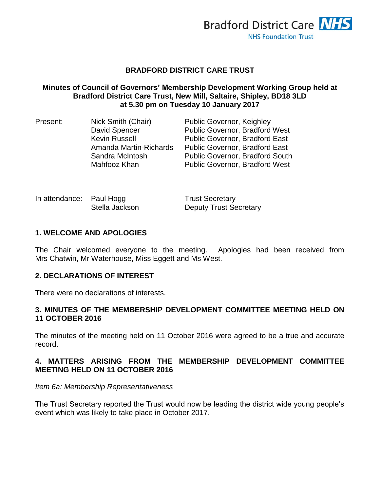

#### **BRADFORD DISTRICT CARE TRUST**

#### **Minutes of Council of Governors' Membership Development Working Group held at Bradford District Care Trust, New Mill, Saltaire, Shipley, BD18 3LD at 5.30 pm on Tuesday 10 January 2017**

| Present: | Nick Smith (Chair)     | <b>Public Governor, Keighley</b>       |
|----------|------------------------|----------------------------------------|
|          | David Spencer          | <b>Public Governor, Bradford West</b>  |
|          | <b>Kevin Russell</b>   | <b>Public Governor, Bradford East</b>  |
|          | Amanda Martin-Richards | <b>Public Governor, Bradford East</b>  |
|          | Sandra McIntosh        | <b>Public Governor, Bradford South</b> |
|          | Mahfooz Khan           | <b>Public Governor, Bradford West</b>  |

| In attendance: Paul Hogg |                | <b>Trust Secretary</b>        |
|--------------------------|----------------|-------------------------------|
|                          | Stella Jackson | <b>Deputy Trust Secretary</b> |

### **1. WELCOME AND APOLOGIES**

The Chair welcomed everyone to the meeting. Apologies had been received from Mrs Chatwin, Mr Waterhouse, Miss Eggett and Ms West.

#### **2. DECLARATIONS OF INTEREST**

There were no declarations of interests.

#### **3. MINUTES OF THE MEMBERSHIP DEVELOPMENT COMMITTEE MEETING HELD ON 11 OCTOBER 2016**

The minutes of the meeting held on 11 October 2016 were agreed to be a true and accurate record.

#### **4. MATTERS ARISING FROM THE MEMBERSHIP DEVELOPMENT COMMITTEE MEETING HELD ON 11 OCTOBER 2016**

#### *Item 6a: Membership Representativeness*

The Trust Secretary reported the Trust would now be leading the district wide young people's event which was likely to take place in October 2017.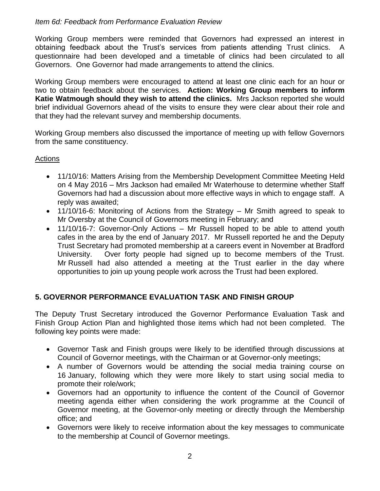### *Item 6d: Feedback from Performance Evaluation Review*

Working Group members were reminded that Governors had expressed an interest in obtaining feedback about the Trust's services from patients attending Trust clinics. A questionnaire had been developed and a timetable of clinics had been circulated to all Governors. One Governor had made arrangements to attend the clinics.

Working Group members were encouraged to attend at least one clinic each for an hour or two to obtain feedback about the services. **Action: Working Group members to inform Katie Watmough should they wish to attend the clinics.** Mrs Jackson reported she would brief individual Governors ahead of the visits to ensure they were clear about their role and that they had the relevant survey and membership documents.

Working Group members also discussed the importance of meeting up with fellow Governors from the same constituency.

#### Actions

- 11/10/16: Matters Arising from the Membership Development Committee Meeting Held on 4 May 2016 – Mrs Jackson had emailed Mr Waterhouse to determine whether Staff Governors had had a discussion about more effective ways in which to engage staff. A reply was awaited;
- 11/10/16-6: Monitoring of Actions from the Strategy Mr Smith agreed to speak to Mr Oversby at the Council of Governors meeting in February; and
- 11/10/16-7: Governor-Only Actions Mr Russell hoped to be able to attend youth cafes in the area by the end of January 2017. Mr Russell reported he and the Deputy Trust Secretary had promoted membership at a careers event in November at Bradford University. Over forty people had signed up to become members of the Trust. Mr Russell had also attended a meeting at the Trust earlier in the day where opportunities to join up young people work across the Trust had been explored.

# **5. GOVERNOR PERFORMANCE EVALUATION TASK AND FINISH GROUP**

The Deputy Trust Secretary introduced the Governor Performance Evaluation Task and Finish Group Action Plan and highlighted those items which had not been completed. The following key points were made:

- Governor Task and Finish groups were likely to be identified through discussions at Council of Governor meetings, with the Chairman or at Governor-only meetings;
- A number of Governors would be attending the social media training course on 16 January, following which they were more likely to start using social media to promote their role/work;
- Governors had an opportunity to influence the content of the Council of Governor meeting agenda either when considering the work programme at the Council of Governor meeting, at the Governor-only meeting or directly through the Membership office; and
- Governors were likely to receive information about the key messages to communicate to the membership at Council of Governor meetings.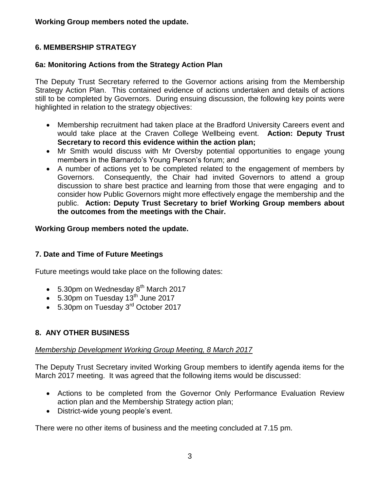**Working Group members noted the update.**

# **6. MEMBERSHIP STRATEGY**

# **6a: Monitoring Actions from the Strategy Action Plan**

The Deputy Trust Secretary referred to the Governor actions arising from the Membership Strategy Action Plan. This contained evidence of actions undertaken and details of actions still to be completed by Governors. During ensuing discussion, the following key points were highlighted in relation to the strategy objectives:

- Membership recruitment had taken place at the Bradford University Careers event and would take place at the Craven College Wellbeing event. **Action: Deputy Trust Secretary to record this evidence within the action plan;**
- Mr Smith would discuss with Mr Oversby potential opportunities to engage young members in the Barnardo's Young Person's forum; and
- A number of actions yet to be completed related to the engagement of members by Governors. Consequently, the Chair had invited Governors to attend a group discussion to share best practice and learning from those that were engaging and to consider how Public Governors might more effectively engage the membership and the public. **Action: Deputy Trust Secretary to brief Working Group members about the outcomes from the meetings with the Chair.**

# **Working Group members noted the update.**

# **7. Date and Time of Future Meetings**

Future meetings would take place on the following dates:

- $\bullet$  5.30pm on Wednesday  $8<sup>th</sup>$  March 2017
- $\bullet$  5.30pm on Tuesday 13<sup>th</sup> June 2017
- 5.30pm on Tuesday 3<sup>rd</sup> October 2017

# **8. ANY OTHER BUSINESS**

# *Membership Development Working Group Meeting, 8 March 2017*

The Deputy Trust Secretary invited Working Group members to identify agenda items for the March 2017 meeting. It was agreed that the following items would be discussed:

- Actions to be completed from the Governor Only Performance Evaluation Review action plan and the Membership Strategy action plan;
- District-wide young people's event.

There were no other items of business and the meeting concluded at 7.15 pm.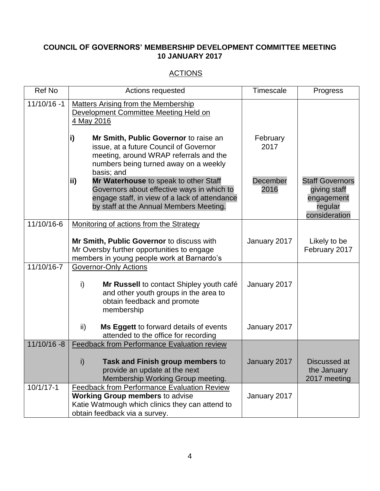# **COUNCIL OF GOVERNORS' MEMBERSHIP DEVELOPMENT COMMITTEE MEETING 10 JANUARY 2017**

# **ACTIONS**

| <b>Ref No</b>  | Actions requested                                                                                                                                                                      | Timescale        | Progress                                                                         |
|----------------|----------------------------------------------------------------------------------------------------------------------------------------------------------------------------------------|------------------|----------------------------------------------------------------------------------|
| $11/10/16 - 1$ | <b>Matters Arising from the Membership</b><br>Development Committee Meeting Held on<br>4 May 2016                                                                                      |                  |                                                                                  |
|                | i)<br>Mr Smith, Public Governor to raise an<br>issue, at a future Council of Governor<br>meeting, around WRAP referrals and the<br>numbers being turned away on a weekly<br>basis; and | February<br>2017 |                                                                                  |
|                | ii)<br>Mr Waterhouse to speak to other Staff<br>Governors about effective ways in which to<br>engage staff, in view of a lack of attendance<br>by staff at the Annual Members Meeting. | December<br>2016 | <b>Staff Governors</b><br>giving staff<br>engagement<br>regular<br>consideration |
| 11/10/16-6     | Monitoring of actions from the Strategy                                                                                                                                                |                  |                                                                                  |
|                | Mr Smith, Public Governor to discuss with<br>Mr Oversby further opportunities to engage<br>members in young people work at Barnardo's                                                  | January 2017     | Likely to be<br>February 2017                                                    |
| 11/10/16-7     | <b>Governor-Only Actions</b><br>i)<br>Mr Russell to contact Shipley youth café<br>and other youth groups in the area to<br>obtain feedback and promote<br>membership                   | January 2017     |                                                                                  |
|                | Ms Eggett to forward details of events<br>ii)<br>attended to the office for recording                                                                                                  | January 2017     |                                                                                  |
| $11/10/16 - 8$ | <b>Feedback from Performance Evaluation review</b>                                                                                                                                     |                  |                                                                                  |
|                | $\mathsf{i}$<br>Task and Finish group members to<br>provide an update at the next<br>Membership Working Group meeting.                                                                 | January 2017     | <b>Discussed</b> at<br>the January<br>2017 meeting                               |
| $10/1/17 - 1$  | <b>Feedback from Performance Evaluation Review</b><br><b>Working Group members to advise</b><br>Katie Watmough which clinics they can attend to<br>obtain feedback via a survey.       | January 2017     |                                                                                  |